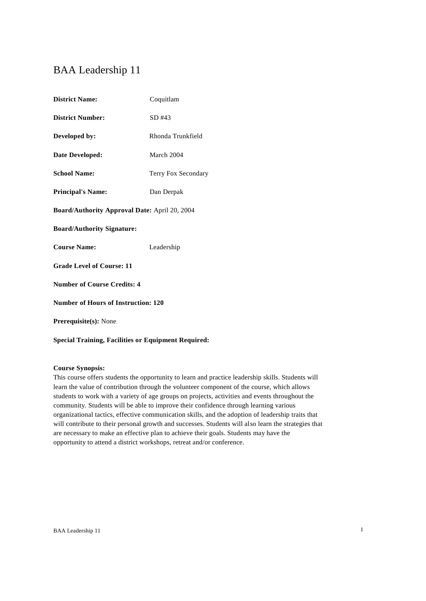# BAA Leadership 11

| <b>District Name:</b>                                | Coquitlam           |  |
|------------------------------------------------------|---------------------|--|
| <b>District Number:</b>                              | SD #43              |  |
| Developed by:                                        | Rhonda Trunkfield   |  |
| Date Developed:                                      | March 2004          |  |
| <b>School Name:</b>                                  | Terry Fox Secondary |  |
| <b>Principal's Name:</b>                             | Dan Derpak          |  |
| <b>Board/Authority Approval Date: April 20, 2004</b> |                     |  |
| <b>Board/Authority Signature:</b>                    |                     |  |
| <b>Course Name:</b>                                  | Leadership          |  |
| <b>Grade Level of Course: 11</b>                     |                     |  |
| <b>Number of Course Credits: 4</b>                   |                     |  |
| <b>Number of Hours of Instruction: 120</b>           |                     |  |
| <b>Prerequisite(s): None</b>                         |                     |  |
|                                                      |                     |  |

**Special Training, Facilities or Equipment Required:**

# **Course Synopsis:**

This course offers students the opportunity to learn and practice leadership skills. Students will learn the value of contribution through the volunteer component of the course, which allows students to work with a variety of age groups on projects, activities and events throughout the community. Students will be able to improve their confidence through learning various organizational tactics, effective communication skills, and the adoption of leadership traits that will contribute to their personal growth and successes. Students will also learn the strategies that are necessary to make an effective plan to achieve their goals. Students may have the opportunity to attend a district workshops, retreat and/or conference.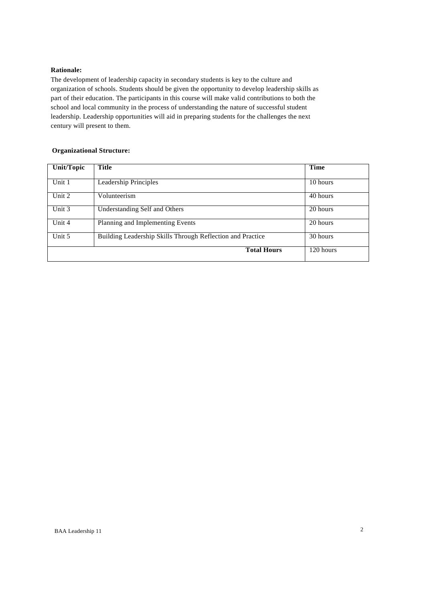# **Rationale:**

The development of leadership capacity in secondary students is key to the culture and organization of schools. Students should be given the opportunity to develop leadership skills as part of their education. The participants in this course will make valid contributions to both the school and local community in the process of understanding the nature of successful student leadership. Leadership opportunities will aid in preparing students for the challenges the next century will present to them.

# **Organizational Structure:**

| <b>Unit/Topic</b> | Title                                                      | Time      |
|-------------------|------------------------------------------------------------|-----------|
|                   |                                                            |           |
| Unit 1            | Leadership Principles                                      | 10 hours  |
| Unit 2            | Volunteerism                                               | 40 hours  |
| Unit 3            | Understanding Self and Others                              | 20 hours  |
| Unit 4            | Planning and Implementing Events                           | 20 hours  |
| Unit 5            | Building Leadership Skills Through Reflection and Practice | 30 hours  |
|                   | <b>Total Hours</b>                                         | 120 hours |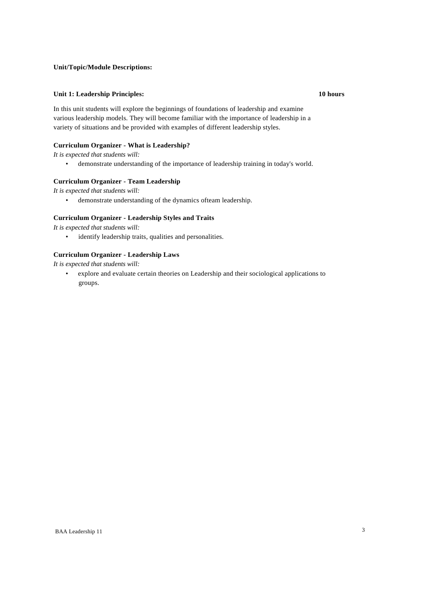### **Unit/Topic/Module Descriptions:**

#### **Unit 1: Leadership Principles: 10 hours**

In this unit students will explore the beginnings of foundations of leadership and examine various leadership models. They will become familiar with the importance of leadership in a variety of situations and be provided with examples of different leadership styles.

# **Curriculum Organizer - What is Leadership?**

*It is expected that students will:*

• demonstrate understanding of the importance of leadership training in today's world.

### **Curriculum Organizer - Team Leadership**

*It is expected that students will:*

• demonstrate understanding of the dynamics ofteam leadership.

#### **Curriculum Organizer - Leadership Styles and Traits**

*It is expected that students will:*

• identify leadership traits, qualities and personalities.

# **Curriculum Organizer - Leadership Laws**

*It is expected that students will:*

• explore and evaluate certain theories on Leadership and their sociological applications to groups.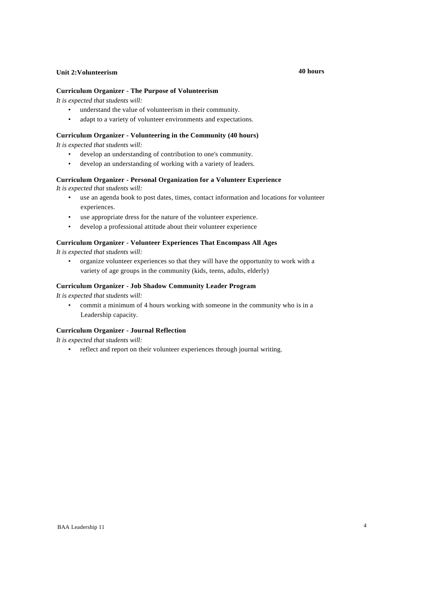### **Unit 2:Volunteerism 40 hours**

#### **Curriculum Organizer - The Purpose of Volunteerism**

*It is expected that students will:*

- understand the value of volunteerism in their community.
- adapt to a variety of volunteer environments and expectations.

### **Curriculum Organizer - Volunteering in the Community (40 hours)**

*It is expected that students will:*

- develop an understanding of contribution to one's community.
- develop an understanding of working with a variety of leaders.

### **Curriculum Organizer - Personal Organization for a Volunteer Experience**

*It is expected that students will:*

- use an agenda book to post dates, times, contact information and locations for volunteer experiences.
- use appropriate dress for the nature of the volunteer experience.
- develop a professional attitude about their volunteer experience

### **Curriculum Organizer - Volunteer Experiences That Encompass All Ages**

*It is expected that students will:*

• organize volunteer experiences so that they will have the opportunity to work with a variety of age groups in the community (kids, teens, adults, elderly)

### **Curriculum Organizer - Job Shadow Community Leader Program**

*It is expected that students will:*

• commit a minimum of 4 hours working with someone in the community who is in a Leadership capacity.

# **Curriculum Organizer - Journal Reflection**

*It is expected that students will:*

• reflect and report on their volunteer experiences through journal writing.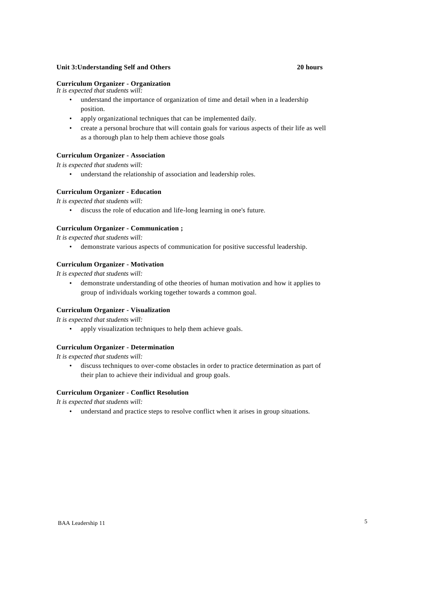#### **Unit 3:Understanding Self and Others 20 hours**

#### **Curriculum Organizer - Organization**

*It is expected that students will:*

- understand the importance of organization of time and detail when in a leadership position.
- apply organizational techniques that can be implemented daily.
- create a personal brochure that will contain goals for various aspects of their life as well as a thorough plan to help them achieve those goals

# **Curriculum Organizer - Association**

*It is expected that students will:*

• understand the relationship of association and leadership roles.

#### **Curriculum Organizer - Education**

*It is expected that students will:*

• discuss the role of education and life-long learning in one's future.

#### **Curriculum Organizer - Communication ;**

*It is expected that students will:*

• demonstrate various aspects of communication for positive successful leadership.

#### **Curriculum Organizer - Motivation**

*It is expected that students will:*

• demonstrate understanding of othe theories of human motivation and how it applies to group of individuals working together towards a common goal.

#### **Curriculum Organizer - Visualization**

*It is expected that students will:*

• apply visualization techniques to help them achieve goals.

# **Curriculum Organizer - Determination**

*It is expected that students will:*

• discuss techniques to over-come obstacles in order to practice determination as part of their plan to achieve their individual and group goals.

#### **Curriculum Organizer - Conflict Resolution**

*It is expected that students will:*

• understand and practice steps to resolve conflict when it arises in group situations.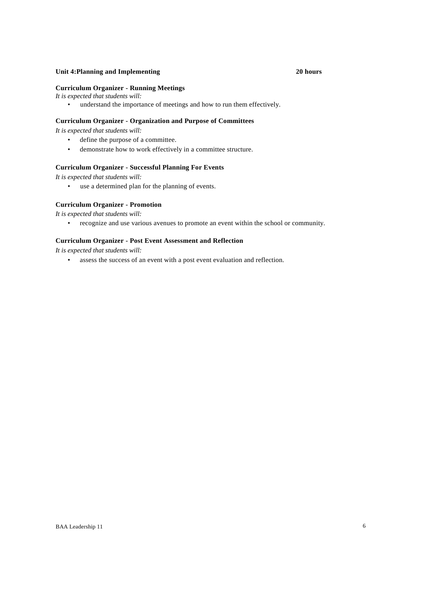# **Unit 4:Planning and Implementing 20 hours**

#### **Curriculum Organizer - Running Meetings**

- *It is expected that students will:*
	- understand the importance of meetings and how to run them effectively.

# **Curriculum Organizer - Organization and Purpose of Committees**

*It is expected that students will:*

- define the purpose of a committee.
- demonstrate how to work effectively in a committee structure.

### **Curriculum Organizer - Successful Planning For Events**

*It is expected that students will:*

• use a determined plan for the planning of events.

#### **Curriculum Organizer - Promotion**

*It is expected that students will:*

• recognize and use various avenues to promote an event within the school or community.

# **Curriculum Organizer - Post Event Assessment and Reflection**

*It is expected that students will:*

• assess the success of an event with a post event evaluation and reflection.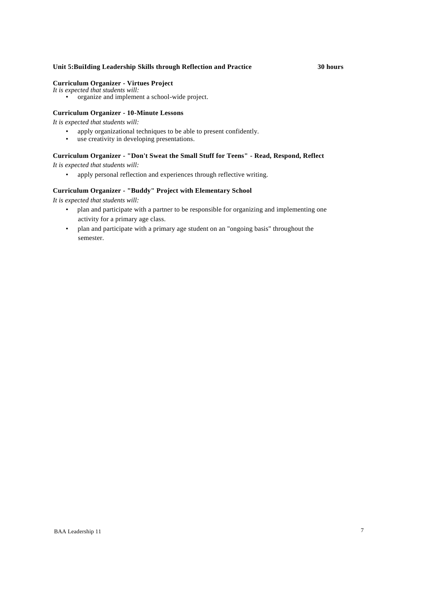# **Unit 5:BuiIding Leadership Skills through Reflection and Practice 30 hours**

# **Curriculum Organizer - Virtues Project**

*It is expected that students will:*

• organize and implement a school-wide project.

# **Curriculum Organizer - 10-Minute Lessons**

*It is expected that students will:*

- apply organizational techniques to be able to present confidently.<br>• use creativity in developing presentations.
- use creativity in developing presentations.

# **Curriculum Organizer - "Don't Sweat the Small Stuff for Teens" - Read, Respond, Reflect**

*It is expected that students will:*

• apply personal reflection and experiences through reflective writing.

#### **Curriculum Organizer - "Buddy" Project with Elementary School**

*It is expected that students will:*

- plan and participate with a partner to be responsible for organizing and implementing one activity for a primary age class.
- plan and participate with a primary age student on an "ongoing basis" throughout the semester.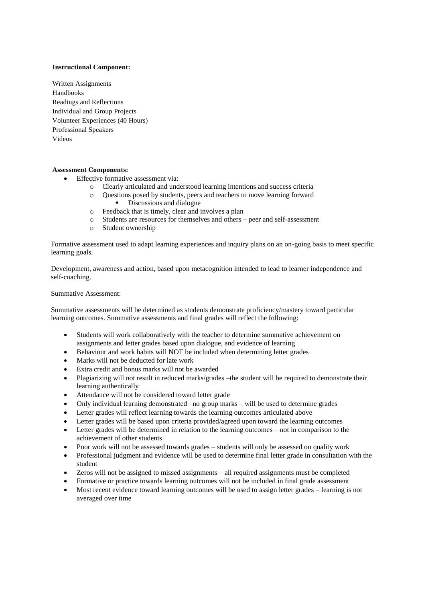### **Instructional Component:**

Written Assignments Handbooks Readings and Reflections Individual and Group Projects Volunteer Experiences (40 Hours) Professional Speakers Videos

#### **Assessment Components:**

- Effective formative assessment via:
	- o Clearly articulated and understood learning intentions and success criteria
	- o Questions posed by students, peers and teachers to move learning forward
		- Discussions and dialogue
	- o Feedback that is timely, clear and involves a plan
	- o Students are resources for themselves and others peer and self-assessment
	- o Student ownership

Formative assessment used to adapt learning experiences and inquiry plans on an on-going basis to meet specific learning goals.

Development, awareness and action, based upon metacognition intended to lead to learner independence and self-coaching.

#### Summative Assessment:

Summative assessments will be determined as students demonstrate proficiency/mastery toward particular learning outcomes. Summative assessments and final grades will reflect the following:

- Students will work collaboratively with the teacher to determine summative achievement on assignments and letter grades based upon dialogue, and evidence of learning
- Behaviour and work habits will NOT be included when determining letter grades
- Marks will not be deducted for late work
- Extra credit and bonus marks will not be awarded
- Plagiarizing will not result in reduced marks/grades –the student will be required to demonstrate their learning authentically
- Attendance will not be considered toward letter grade
- Only individual learning demonstrated –no group marks will be used to determine grades
- Letter grades will reflect learning towards the learning outcomes articulated above
- Letter grades will be based upon criteria provided/agreed upon toward the learning outcomes
- Letter grades will be determined in relation to the learning outcomes not in comparison to the achievement of other students
- Poor work will not be assessed towards grades students will only be assessed on quality work
- Professional judgment and evidence will be used to determine final letter grade in consultation with the student
- Zeros will not be assigned to missed assignments all required assignments must be completed
- Formative or practice towards learning outcomes will not be included in final grade assessment
- Most recent evidence toward learning outcomes will be used to assign letter grades learning is not averaged over time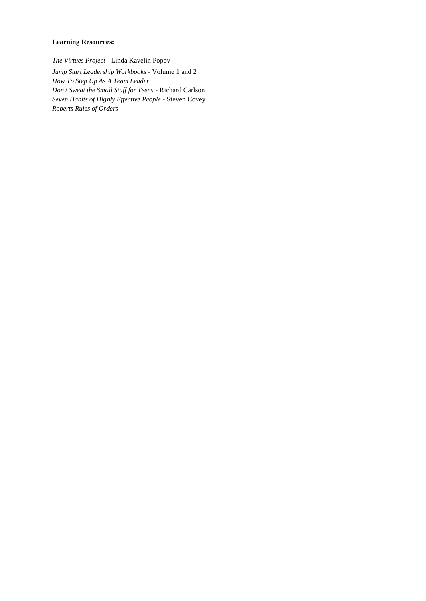# **Learning Resources:**

*The Virtues Project -* Linda Kavelin Popov *Jump Start Leadership Workbooks -* Volume 1 and 2 *How To Step Up As A Team Leader Don't Sweat the Small Stuff for Teens* - Richard Carlson *Seven Habits of Highly Effective People -* Steven Covey *Roberts Rules of Orders*